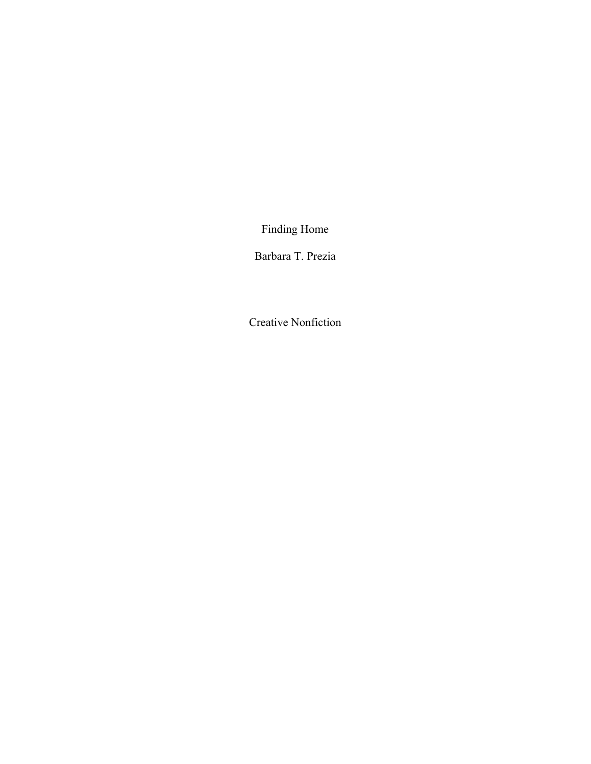Finding Home

Barbara T. Prezia

Creative Nonfiction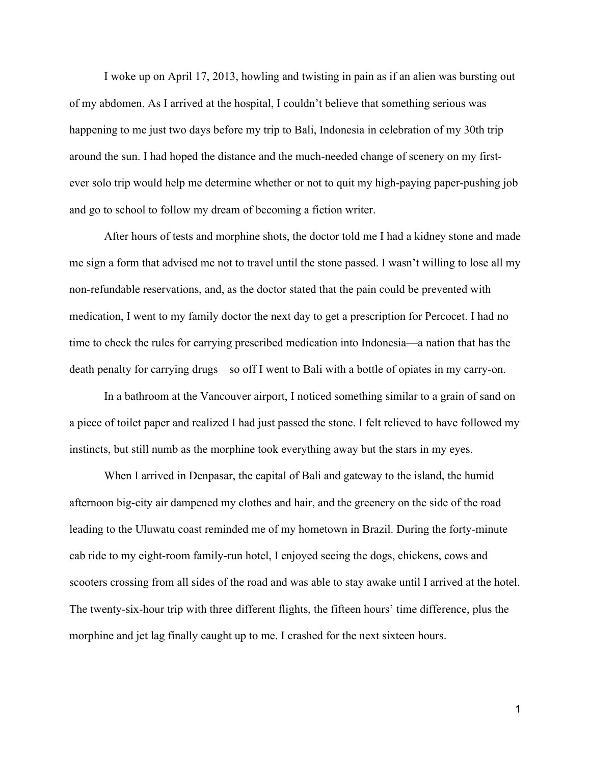I woke up on April 17, 2013, howling and twisting in pain as if an alien was bursting out of my abdomen. As I arrived at the hospital, I couldn't believe that something serious was happening to me just two days before my trip to Bali, Indonesia in celebration of my 30th trip around the sun. I had hoped the distance and the much-needed change of scenery on my firstever solo trip would help me determine whether or not to quit my high-paying paper-pushing job and go to school to follow my dream of becoming a fiction writer.

After hours of tests and morphine shots, the doctor told me I had a kidney stone and made me sign a form that advised me not to travel until the stone passed. I wasn't willing to lose all my non-refundable reservations, and, as the doctor stated that the pain could be prevented with medication, I went to my family doctor the next day to get a prescription for Percocet. I had no time to check the rules for carrying prescribed medication into Indonesia—a nation that has the death penalty for carrying drugs—so off I went to Bali with a bottle of opiates in my carry-on.

In a bathroom at the Vancouver airport, I noticed something similar to a grain of sand on a piece of toilet paper and realized I had just passed the stone. I felt relieved to have followed my instincts, but still numb as the morphine took everything away but the stars in my eyes.

When I arrived in Denpasar, the capital of Bali and gateway to the island, the humid afternoon big-city air dampened my clothes and hair, and the greenery on the side of the road leading to the Uluwatu coast reminded me of my hometown in Brazil. During the forty-minute cab ride to my eight-room family-run hotel, I enjoyed seeing the dogs, chickens, cows and scooters crossing from all sides of the road and was able to stay awake until I arrived at the hotel. The twenty-six-hour trip with three different flights, the fifteen hours' time difference, plus the morphine and jet lag finally caught up to me. I crashed for the next sixteen hours.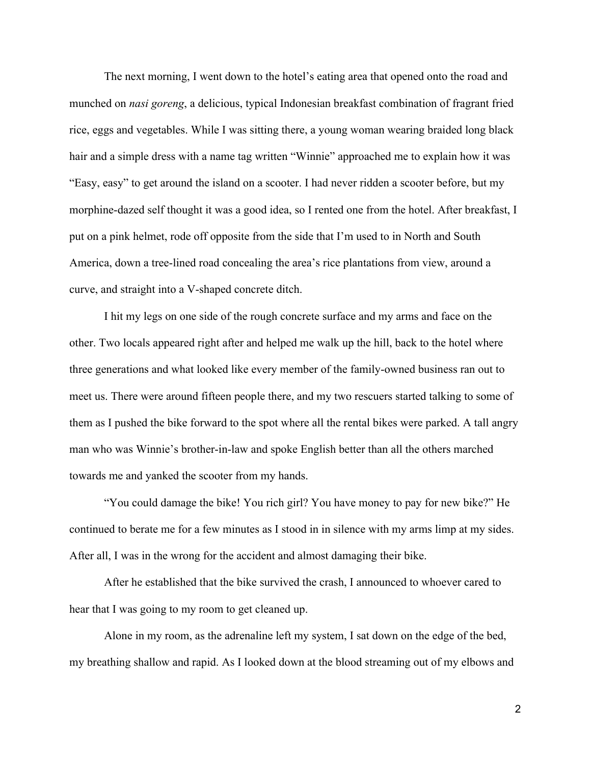The next morning, I went down to the hotel's eating area that opened onto the road and munched on *nasi goreng*, a delicious, typical Indonesian breakfast combination of fragrant fried rice, eggs and vegetables. While I was sitting there, a young woman wearing braided long black hair and a simple dress with a name tag written "Winnie" approached me to explain how it was "Easy, easy" to get around the island on a scooter. I had never ridden a scooter before, but my morphine-dazed self thought it was a good idea, so I rented one from the hotel. After breakfast, I put on a pink helmet, rode off opposite from the side that I'm used to in North and South America, down a tree-lined road concealing the area's rice plantations from view, around a curve, and straight into a V-shaped concrete ditch.

I hit my legs on one side of the rough concrete surface and my arms and face on the other. Two locals appeared right after and helped me walk up the hill, back to the hotel where three generations and what looked like every member of the family-owned business ran out to meet us. There were around fifteen people there, and my two rescuers started talking to some of them as I pushed the bike forward to the spot where all the rental bikes were parked. A tall angry man who was Winnie's brother-in-law and spoke English better than all the others marched towards me and yanked the scooter from my hands.

"You could damage the bike! You rich girl? You have money to pay for new bike?" He continued to berate me for a few minutes as I stood in in silence with my arms limp at my sides. After all, I was in the wrong for the accident and almost damaging their bike.

After he established that the bike survived the crash, I announced to whoever cared to hear that I was going to my room to get cleaned up.

Alone in my room, as the adrenaline left my system, I sat down on the edge of the bed, my breathing shallow and rapid. As I looked down at the blood streaming out of my elbows and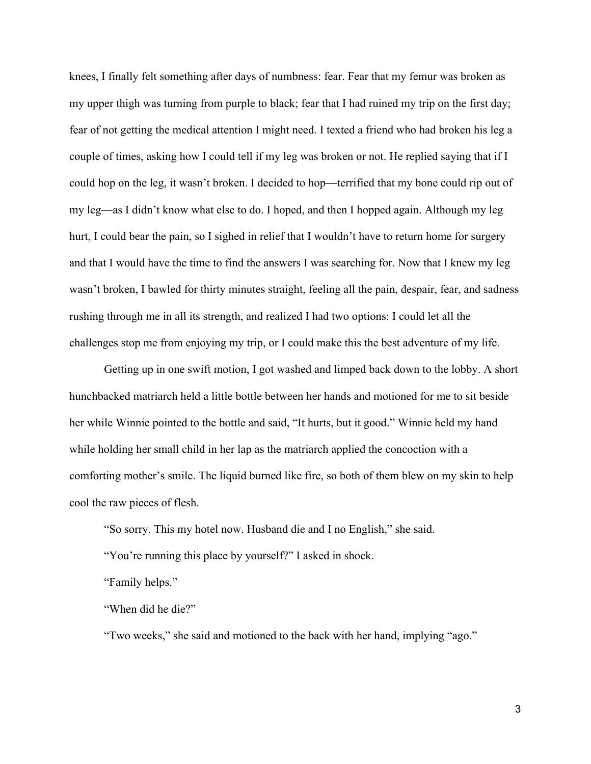knees, I finally felt something after days of numbness: fear. Fear that my femur was broken as my upper thigh was turning from purple to black; fear that I had ruined my trip on the first day; fear of not getting the medical attention I might need. I texted a friend who had broken his leg a couple of times, asking how I could tell if my leg was broken or not. He replied saying that if I could hop on the leg, it wasn't broken. I decided to hop—terrified that my bone could rip out of my leg—as I didn't know what else to do. I hoped, and then I hopped again. Although my leg hurt, I could bear the pain, so I sighed in relief that I wouldn't have to return home for surgery and that I would have the time to find the answers I was searching for. Now that I knew my leg wasn't broken, I bawled for thirty minutes straight, feeling all the pain, despair, fear, and sadness rushing through me in all its strength, and realized I had two options: I could let all the challenges stop me from enjoying my trip, or I could make this the best adventure of my life.

Getting up in one swift motion, I got washed and limped back down to the lobby. A short hunchbacked matriarch held a little bottle between her hands and motioned for me to sit beside her while Winnie pointed to the bottle and said, "It hurts, but it good." Winnie held my hand while holding her small child in her lap as the matriarch applied the concoction with a comforting mother's smile. The liquid burned like fire, so both of them blew on my skin to help cool the raw pieces of flesh.

"So sorry. This my hotel now. Husband die and I no English," she said.

"You're running this place by yourself?" I asked in shock.

"Family helps."

"When did he die?"

"Two weeks," she said and motioned to the back with her hand, implying "ago."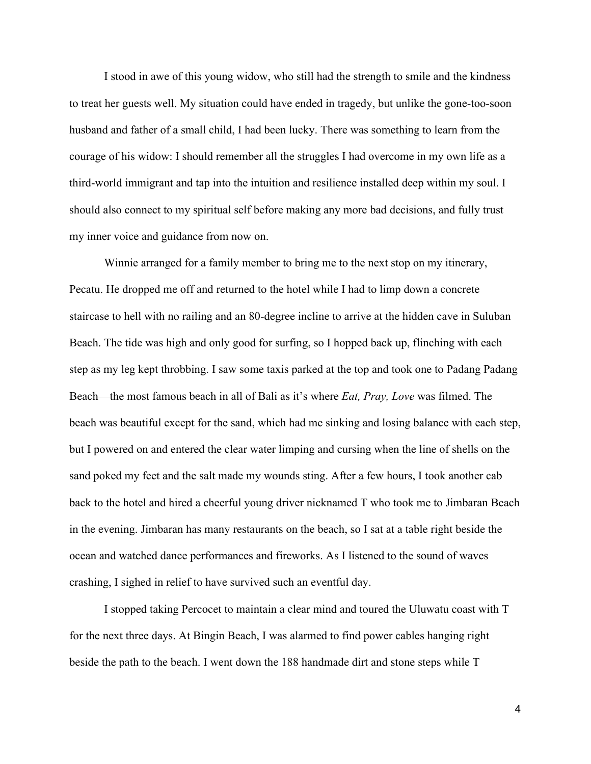I stood in awe of this young widow, who still had the strength to smile and the kindness to treat her guests well. My situation could have ended in tragedy, but unlike the gone-too-soon husband and father of a small child, I had been lucky. There was something to learn from the courage of his widow: I should remember all the struggles I had overcome in my own life as a third-world immigrant and tap into the intuition and resilience installed deep within my soul. I should also connect to my spiritual self before making any more bad decisions, and fully trust my inner voice and guidance from now on.

Winnie arranged for a family member to bring me to the next stop on my itinerary, Pecatu. He dropped me off and returned to the hotel while I had to limp down a concrete staircase to hell with no railing and an 80-degree incline to arrive at the hidden cave in Suluban Beach. The tide was high and only good for surfing, so I hopped back up, flinching with each step as my leg kept throbbing. I saw some taxis parked at the top and took one to Padang Padang Beach—the most famous beach in all of Bali as it's where *Eat, Pray, Love* was filmed. The beach was beautiful except for the sand, which had me sinking and losing balance with each step, but I powered on and entered the clear water limping and cursing when the line of shells on the sand poked my feet and the salt made my wounds sting. After a few hours, I took another cab back to the hotel and hired a cheerful young driver nicknamed T who took me to Jimbaran Beach in the evening. Jimbaran has many restaurants on the beach, so I sat at a table right beside the ocean and watched dance performances and fireworks. As I listened to the sound of waves crashing, I sighed in relief to have survived such an eventful day.

I stopped taking Percocet to maintain a clear mind and toured the Uluwatu coast with T for the next three days. At Bingin Beach, I was alarmed to find power cables hanging right beside the path to the beach. I went down the 188 handmade dirt and stone steps while T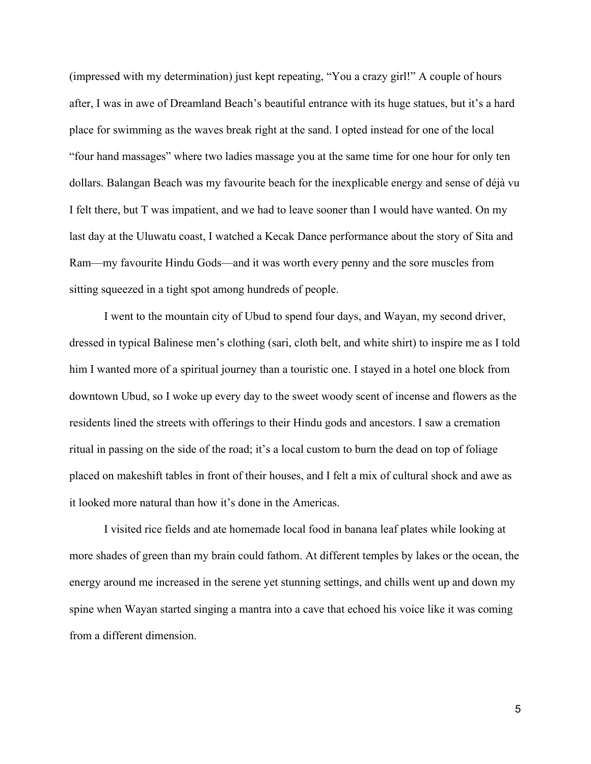(impressed with my determination) just kept repeating, "You a crazy girl!" A couple of hours after, I was in awe of Dreamland Beach's beautiful entrance with its huge statues, but it's a hard place for swimming as the waves break right at the sand. I opted instead for one of the local "four hand massages" where two ladies massage you at the same time for one hour for only ten dollars. Balangan Beach was my favourite beach for the inexplicable energy and sense of déjà vu I felt there, but T was impatient, and we had to leave sooner than I would have wanted. On my last day at the Uluwatu coast, I watched a Kecak Dance performance about the story of Sita and Ram—my favourite Hindu Gods—and it was worth every penny and the sore muscles from sitting squeezed in a tight spot among hundreds of people.

I went to the mountain city of Ubud to spend four days, and Wayan, my second driver, dressed in typical Balinese men's clothing (sari, cloth belt, and white shirt) to inspire me as I told him I wanted more of a spiritual journey than a touristic one. I stayed in a hotel one block from downtown Ubud, so I woke up every day to the sweet woody scent of incense and flowers as the residents lined the streets with offerings to their Hindu gods and ancestors. I saw a cremation ritual in passing on the side of the road; it's a local custom to burn the dead on top of foliage placed on makeshift tables in front of their houses, and I felt a mix of cultural shock and awe as it looked more natural than how it's done in the Americas.

I visited rice fields and ate homemade local food in banana leaf plates while looking at more shades of green than my brain could fathom. At different temples by lakes or the ocean, the energy around me increased in the serene yet stunning settings, and chills went up and down my spine when Wayan started singing a mantra into a cave that echoed his voice like it was coming from a different dimension.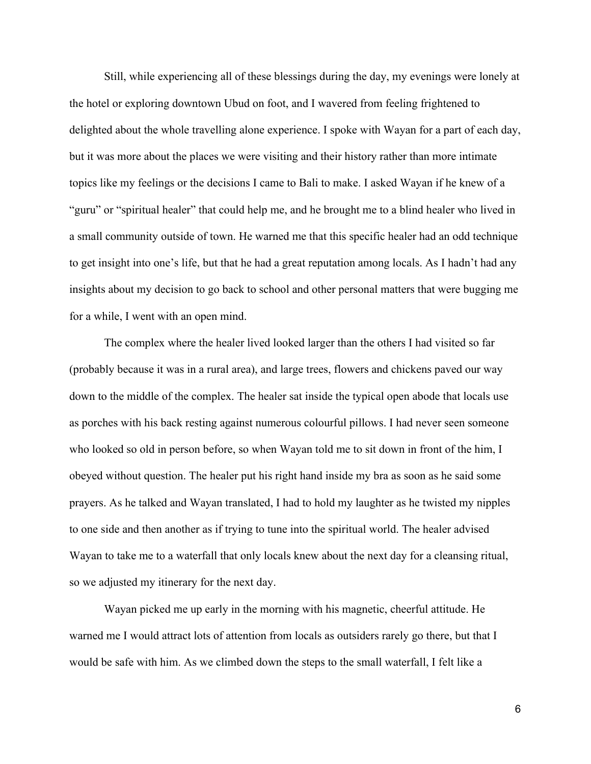Still, while experiencing all of these blessings during the day, my evenings were lonely at the hotel or exploring downtown Ubud on foot, and I wavered from feeling frightened to delighted about the whole travelling alone experience. I spoke with Wayan for a part of each day, but it was more about the places we were visiting and their history rather than more intimate topics like my feelings or the decisions I came to Bali to make. I asked Wayan if he knew of a "guru" or "spiritual healer" that could help me, and he brought me to a blind healer who lived in a small community outside of town. He warned me that this specific healer had an odd technique to get insight into one's life, but that he had a great reputation among locals. As I hadn't had any insights about my decision to go back to school and other personal matters that were bugging me for a while, I went with an open mind.

The complex where the healer lived looked larger than the others I had visited so far (probably because it was in a rural area), and large trees, flowers and chickens paved our way down to the middle of the complex. The healer sat inside the typical open abode that locals use as porches with his back resting against numerous colourful pillows. I had never seen someone who looked so old in person before, so when Wayan told me to sit down in front of the him, I obeyed without question. The healer put his right hand inside my bra as soon as he said some prayers. As he talked and Wayan translated, I had to hold my laughter as he twisted my nipples to one side and then another as if trying to tune into the spiritual world. The healer advised Wayan to take me to a waterfall that only locals knew about the next day for a cleansing ritual, so we adjusted my itinerary for the next day.

Wayan picked me up early in the morning with his magnetic, cheerful attitude. He warned me I would attract lots of attention from locals as outsiders rarely go there, but that I would be safe with him. As we climbed down the steps to the small waterfall, I felt like a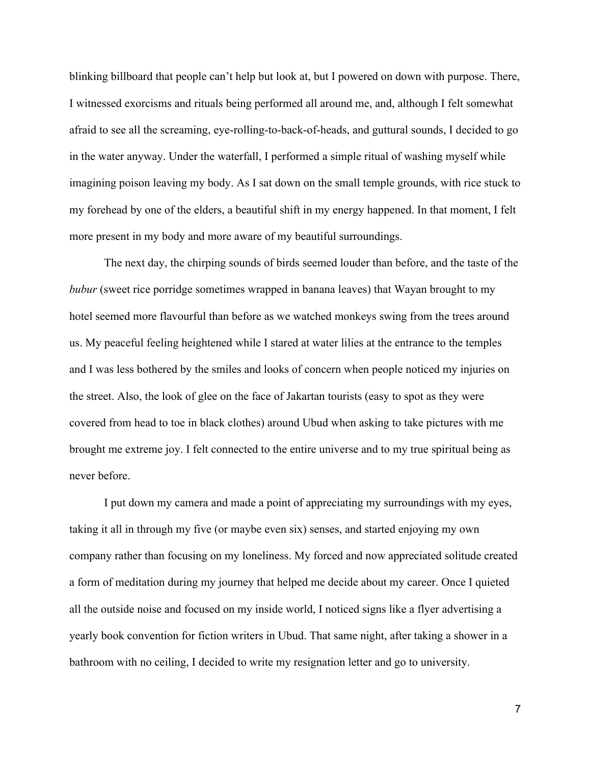blinking billboard that people can't help but look at, but I powered on down with purpose. There, I witnessed exorcisms and rituals being performed all around me, and, although I felt somewhat afraid to see all the screaming, eye-rolling-to-back-of-heads, and guttural sounds, I decided to go in the water anyway. Under the waterfall, I performed a simple ritual of washing myself while imagining poison leaving my body. As I sat down on the small temple grounds, with rice stuck to my forehead by one of the elders, a beautiful shift in my energy happened. In that moment, I felt more present in my body and more aware of my beautiful surroundings.

The next day, the chirping sounds of birds seemed louder than before, and the taste of the *bubur* (sweet rice porridge sometimes wrapped in banana leaves) that Wayan brought to my hotel seemed more flavourful than before as we watched monkeys swing from the trees around us. My peaceful feeling heightened while I stared at water lilies at the entrance to the temples and I was less bothered by the smiles and looks of concern when people noticed my injuries on the street. Also, the look of glee on the face of Jakartan tourists (easy to spot as they were covered from head to toe in black clothes) around Ubud when asking to take pictures with me brought me extreme joy. I felt connected to the entire universe and to my true spiritual being as never before.

I put down my camera and made a point of appreciating my surroundings with my eyes, taking it all in through my five (or maybe even six) senses, and started enjoying my own company rather than focusing on my loneliness. My forced and now appreciated solitude created a form of meditation during my journey that helped me decide about my career. Once I quieted all the outside noise and focused on my inside world, I noticed signs like a flyer advertising a yearly book convention for fiction writers in Ubud. That same night, after taking a shower in a bathroom with no ceiling, I decided to write my resignation letter and go to university.